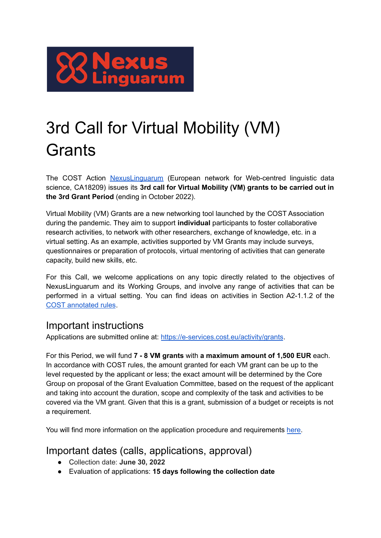

## 3rd Call for Virtual Mobility (VM) **Grants**

The COST Action [NexusLinguarum](https://nexuslinguarum.eu/) (European network for Web-centred linguistic data science, CA18209) issues its **3rd call for Virtual Mobility (VM) grants to be carried out in the 3rd Grant Period** (ending in October 2022).

Virtual Mobility (VM) Grants are a new networking tool launched by the COST Association during the pandemic. They aim to support **individual** participants to foster collaborative research activities, to network with other researchers, exchange of knowledge, etc. in a virtual setting. As an example, activities supported by VM Grants may include surveys, questionnaires or preparation of protocols, virtual mentoring of activities that can generate capacity, build new skills, etc.

For this Call, we welcome applications on any topic directly related to the objectives of NexusLinguarum and its Working Groups, and involve any range of activities that can be performed in a virtual setting. You can find ideas on activities in Section A2-1.1.2 of the COST [annotated](https://www.cost.eu/uploads/2022/02/COST-094-21-Annotated-Rules-for-COST-Actions-Level-C-2022-02-15.pdf) rules.

## Important instructions

Applications are submitted online at: <https://e-services.cost.eu/activity/grants>.

For this Period, we will fund **7 - 8 VM grants** with **a maximum amount of 1,500 EUR** each. In accordance with COST rules, the amount granted for each VM grant can be up to the level requested by the applicant or less; the exact amount will be determined by the Core Group on proposal of the Grant Evaluation Committee, based on the request of the applicant and taking into account the duration, scope and complexity of the task and activities to be covered via the VM grant. Given that this is a grant, submission of a budget or receipts is not a requirement.

You will find more information on the application procedure and requirements [here.](https://nexuslinguarum.eu/activities/virtual-mobility-grants/)

## Important dates (calls, applications, approval)

- Collection date: **June 30, 2022**
- Evaluation of applications: **15 days following the collection date**